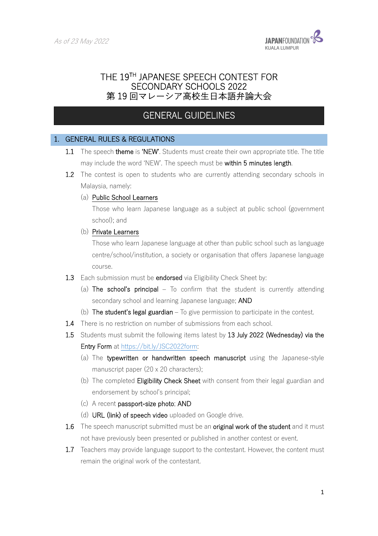I



# THE 19TH JAPANESE SPEECH CONTEST FOR SECONDARY SCHOOLS 2022 第19回マレーシア高校生日本語弁論大会

# GENERAL GUIDELINES

### 1. GENERAL RULES & REGULATIONS

- 1.1 The speech theme is 'NEW'. Students must create their own appropriate title. The title may include the word 'NEW'. The speech must be within 5 minutes length.
- **1.2** The contest is open to students who are currently attending secondary schools in Malaysia, namely:
	- (a) Public School Learners

Those who learn Japanese language as a subject at public school (government school); and

(b) Private Learners

Those who learn Japanese language at other than public school such as language centre/school/institution, a society or organisation that offers Japanese language course.

- 1.3 Each submission must be endorsed via Eligibility Check Sheet by:
	- (a) The school's principal  $-$  To confirm that the student is currently attending secondary school and learning Japanese language; AND
	- (b) The student's legal guardian  $-$  To give permission to participate in the contest.
- 1.4 There is no restriction on number of submissions from each school.
- 1.5 Students must submit the following items latest by 13 July 2022 (Wednesday) via the Entry Form at https://bit.ly/JSC2022form:
	- (a) The typewritten or handwritten speech manuscript using the Japanese-style manuscript paper (20 x 20 characters);
	- (b) The completed Eligibility Check Sheet with consent from their legal guardian and endorsement by school's principal;
	- (c) A recent passport-size photo; AND
	- (d) URL (link) of speech video uploaded on Google drive.
- **1.6** The speech manuscript submitted must be an **original work of the student** and it must not have previously been presented or published in another contest or event.
- 1.7 Teachers may provide language support to the contestant. However, the content must remain the original work of the contestant.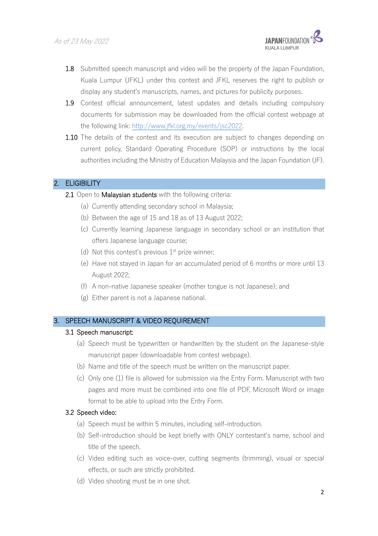

- 1.8 Submitted speech manuscript and video will be the property of the Japan Foundation, Kuala Lumpur (JFKL) under this contest and JFKL reserves the right to publish or display any student's manuscripts, names, and pictures for publicity purposes.
- 1.9 Contest official announcement, latest updates and details including compulsory documents for submission may be downloaded from the official contest webpage at the following link: http://www.jfkl.org.my/events/jsc2022.
- 1.10 The details of the contest and its execution are subject to changes depending on current policy, Standard Operating Procedure (SOP) or instructions by the local authorities including the Ministry of Education Malaysia and the Japan Foundation (JF).

### 2. ELIGIBILITY

- 2.1 Open to Malaysian students with the following criteria:
	- (a) Currently attending secondary school in Malaysia;
	- (b) Between the age of 15 and 18 as of 13 August 2022;
	- (c) Currently learning Japanese language in secondary school or an institution that offers Japanese language course;
	- (d) Not this contest's previous  $1<sup>st</sup>$  prize winner;
	- (e) Have not stayed in Japan for an accumulated period of 6 months or more until 13 August 2022;
	- (f) A non-native Japanese speaker (mother tongue is not Japanese); and
	- (g) Either parent is not a Japanese national.

## 3. SPEECH MANUSCRIPT & VIDEO REQUIREMENT

#### 3.1 Speech manuscript:

- (a) Speech must be typewritten or handwritten by the student on the Japanese-style manuscript paper (downloadable from contest webpage).
- (b) Name and title of the speech must be written on the manuscript paper.
- (c) Only one (1) file is allowed for submission via the Entry Form. Manuscript with two pages and more must be combined into one file of PDF, Microsoft Word or image format to be able to upload into the Entry Form.

#### 3.2 Speech video:

- (a) Speech must be within 5 minutes, including self-introduction.
- (b) Self-introduction should be kept briefly with ONLY contestant's name, school and title of the speech.
- (c) Video editing such as voice-over, cutting segments (trimming), visual or special effects, or such are strictly prohibited.
- (d) Video shooting must be in one shot.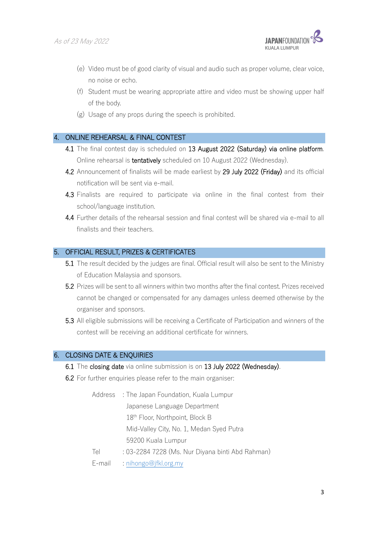

- (e) Video must be of good clarity of visual and audio such as proper volume, clear voice, no noise or echo.
- (f) Student must be wearing appropriate attire and video must be showing upper half of the body.
- (g) Usage of any props during the speech is prohibited.

#### 4. ONLINE REHEARSAL & FINAL CONTEST

- 4.1 The final contest day is scheduled on 13 August 2022 (Saturday) via online platform. Online rehearsal is tentatively scheduled on 10 August 2022 (Wednesday).
- 4.2 Announcement of finalists will be made earliest by 29 July 2022 (Friday) and its official notification will be sent via e-mail.
- 4.3 Finalists are required to participate via online in the final contest from their school/language institution.
- 4.4 Further details of the rehearsal session and final contest will be shared via e-mail to all finalists and their teachers.

#### 5. OFFICIAL RESULT, PRIZES & CERTIFICATES

- 5.1 The result decided by the judges are final. Official result will also be sent to the Ministry of Education Malaysia and sponsors.
- 5.2 Prizes will be sent to all winners within two months after the final contest. Prizes received cannot be changed or compensated for any damages unless deemed otherwise by the organiser and sponsors.
- 5.3 All eligible submissions will be receiving a Certificate of Participation and winners of the contest will be receiving an additional certificate for winners.

#### 6. CLOSING DATE & ENQUIRIES

- 6.1 The closing date via online submission is on 13 July 2022 (Wednesday).
- 6.2 For further enquiries please refer to the main organiser:
	- Address : The Japan Foundation, Kuala Lumpur Japanese Language Department 18<sup>th</sup> Floor, Northpoint, Block B Mid-Valley City, No. 1, Medan Syed Putra 59200 Kuala Lumpur Tel : 03-2284 7228 (Ms. Nur Diyana binti Abd Rahman)
	- E-mail : nihongo@jfkl.org.my